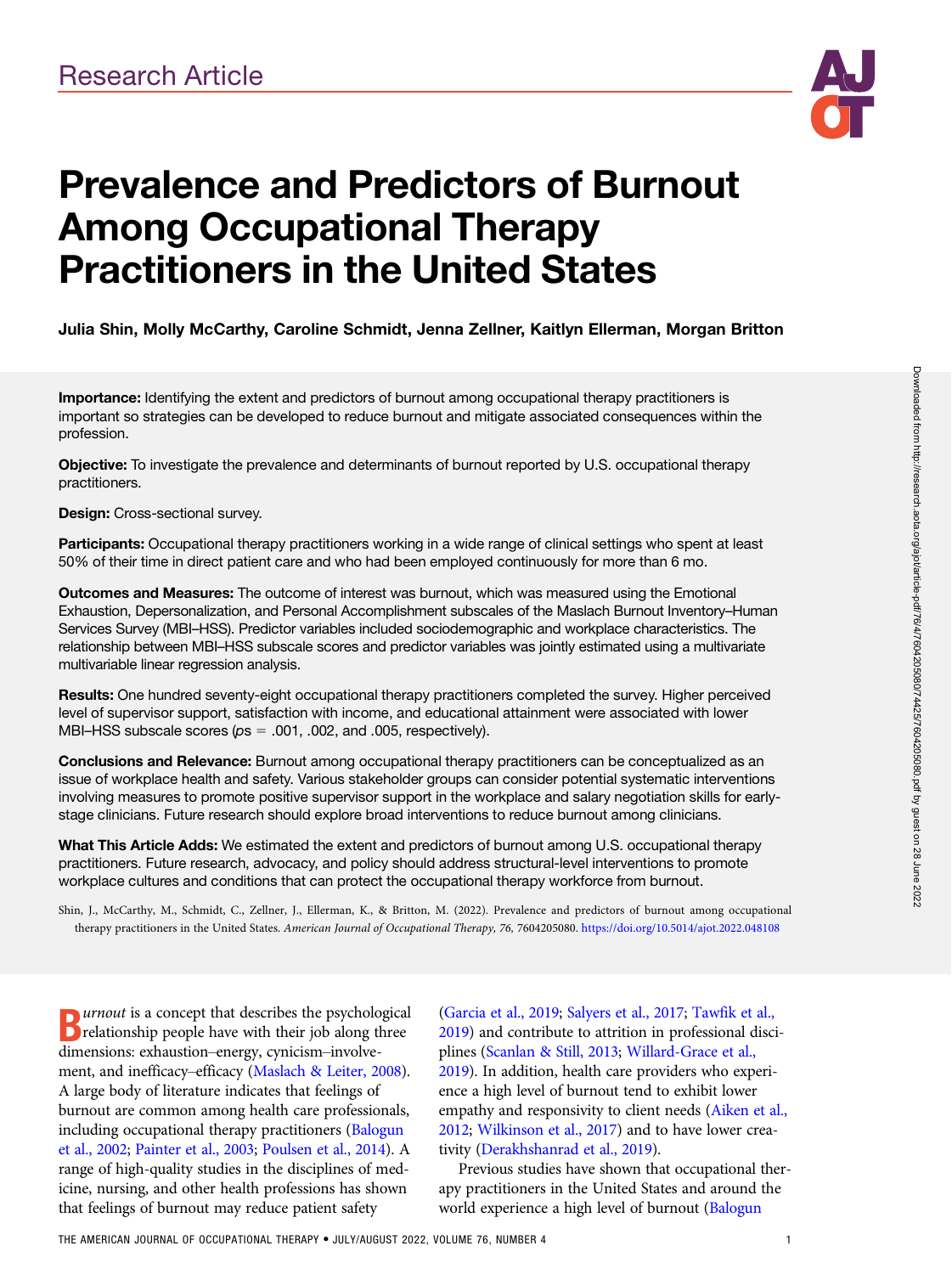

# Prevalence and Predictors of Burnout Among Occupational Therapy Practitioners in the United States

## Julia Shin, Molly McCarthy, Caroline Schmidt, Jenna Zellner, Kaitlyn Ellerman, Morgan Britton

Importance: Identifying the extent and predictors of burnout among occupational therapy practitioners is important so strategies can be developed to reduce burnout and mitigate associated consequences within the profession.

Objective: To investigate the prevalence and determinants of burnout reported by U.S. occupational therapy practitioners.

#### Design: Cross-sectional survey.

Participants: Occupational therapy practitioners working in a wide range of clinical settings who spent at least 50% of their time in direct patient care and who had been employed continuously for more than 6 mo.

Outcomes and Measures: The outcome of interest was burnout, which was measured using the Emotional Exhaustion, Depersonalization, and Personal Accomplishment subscales of the Maslach Burnout Inventory–Human Services Survey (MBI–HSS). Predictor variables included sociodemographic and workplace characteristics. The relationship between MBI–HSS subscale scores and predictor variables was jointly estimated using a multivariate multivariable linear regression analysis.

Results: One hundred seventy-eight occupational therapy practitioners completed the survey. Higher perceived level of supervisor support, satisfaction with income, and educational attainment were associated with lower MBI–HSS subscale scores ( $ps = .001$ , .002, and .005, respectively).

Conclusions and Relevance: Burnout among occupational therapy practitioners can be conceptualized as an issue of workplace health and safety. Various stakeholder groups can consider potential systematic interventions involving measures to promote positive supervisor support in the workplace and salary negotiation skills for earlystage clinicians. Future research should explore broad interventions to reduce burnout among clinicians.

What This Article Adds: We estimated the extent and predictors of burnout among U.S. occupational therapy practitioners. Future research, advocacy, and policy should address structural-level interventions to promote workplace cultures and conditions that can protect the occupational therapy workforce from burnout.

Shin, J., McCarthy, M., Schmidt, C., Zellner, J., Ellerman, K., & Britton, M. (2022). Prevalence and predictors of burnout among occupational therapy practitioners in the United States. American Journal of Occupational Therapy, 76, 7604205080. <https://doi.org/10.5014/ajot.2022.048108>

**D** *urnout* is a concept that describes the psychological<br> **D** relationship people have with their job along three<br>
dimensions exhaustion aparw emision involve relationship people have with their job along three dimensions: exhaustion–energy, cynicism–involvement, and inefficacy–efficacy ([Maslach & Leiter, 2008\)](#page-6-0). A large body of literature indicates that feelings of burnout are common among health care professionals, including occupational therapy practitioners ([Balogun](#page-6-0) [et al., 2002](#page-6-0); [Painter et al., 2003](#page-6-0); [Poulsen et al., 2014\)](#page-6-0). A range of high-quality studies in the disciplines of medicine, nursing, and other health professions has shown that feelings of burnout may reduce patient safety

[\(Garcia et al., 2019](#page-6-0); [Salyers et al., 2017](#page-6-0); [Tawfik et al.,](#page-7-0) [2019](#page-7-0)) and contribute to attrition in professional disciplines ([Scanlan & Still, 2013;](#page-6-0) [Willard-Grace et al.,](#page-7-0) [2019](#page-7-0)). In addition, health care providers who experience a high level of burnout tend to exhibit lower empathy and responsivity to client needs ([Aiken et al.,](#page-6-0) [2012](#page-6-0); [Wilkinson et al., 2017\)](#page-7-0) and to have lower creativity [\(Derakhshanrad et al., 2019\)](#page-6-0).

Previous studies have shown that occupational therapy practitioners in the United States and around the world experience a high level of burnout ([Balogun](#page-6-0)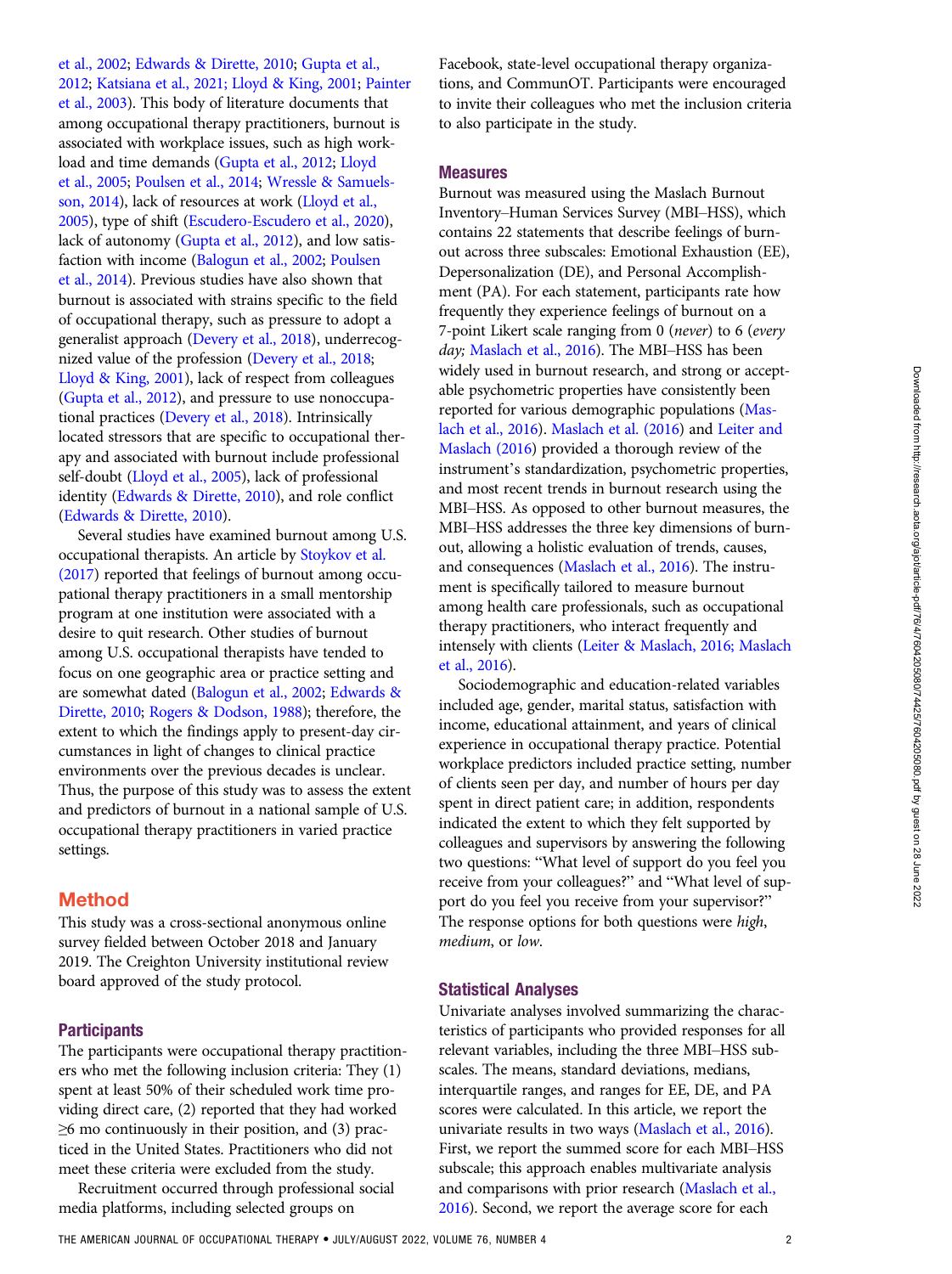[et al., 2002](#page-6-0); [Edwards & Dirette, 2010](#page-6-0); [Gupta et al.,](#page-6-0) [2012](#page-6-0); [Katsiana et al., 2021; Lloyd & King, 2001;](#page-6-0) [Painter](#page-6-0) [et al., 2003](#page-6-0)). This body of literature documents that among occupational therapy practitioners, burnout is associated with workplace issues, such as high workload and time demands ([Gupta et al., 2012](#page-6-0); [Lloyd](#page-6-0) [et al., 2005](#page-6-0); [Poulsen et al., 2014;](#page-6-0) [Wressle & Samuels](#page-7-0)[son, 2014](#page-7-0)), lack of resources at work ([Lloyd et al.,](#page-6-0) [2005](#page-6-0)), type of shift ([Escudero-Escudero et al., 2020\)](#page-6-0), lack of autonomy ([Gupta et al., 2012](#page-6-0)), and low satisfaction with income ([Balogun et al., 2002;](#page-6-0) [Poulsen](#page-6-0) [et al., 2014](#page-6-0)). Previous studies have also shown that burnout is associated with strains specific to the field of occupational therapy, such as pressure to adopt a generalist approach [\(Devery et al., 2018](#page-6-0)), underrecognized value of the profession [\(Devery et al., 2018;](#page-6-0) [Lloyd & King, 2001](#page-6-0)), lack of respect from colleagues [\(Gupta et al., 2012](#page-6-0)), and pressure to use nonoccupational practices [\(Devery et al., 2018\)](#page-6-0). Intrinsically located stressors that are specific to occupational therapy and associated with burnout include professional self-doubt [\(Lloyd et al., 2005](#page-6-0)), lack of professional identity ([Edwards & Dirette, 2010](#page-6-0)), and role conflict [\(Edwards & Dirette, 2010](#page-6-0)).

Several studies have examined burnout among U.S. occupational therapists. An article by [Stoykov et al.](#page-7-0) [\(2017\)](#page-7-0) reported that feelings of burnout among occupational therapy practitioners in a small mentorship program at one institution were associated with a desire to quit research. Other studies of burnout among U.S. occupational therapists have tended to focus on one geographic area or practice setting and are somewhat dated ([Balogun et al., 2002;](#page-6-0) [Edwards &](#page-6-0) [Dirette, 2010;](#page-6-0) [Rogers & Dodson, 1988\)](#page-6-0); therefore, the extent to which the findings apply to present-day circumstances in light of changes to clinical practice environments over the previous decades is unclear. Thus, the purpose of this study was to assess the extent and predictors of burnout in a national sample of U.S. occupational therapy practitioners in varied practice settings.

## Method

This study was a cross-sectional anonymous online survey fielded between October 2018 and January 2019. The Creighton University institutional review board approved of the study protocol.

### **Participants**

The participants were occupational therapy practitioners who met the following inclusion criteria: They (1) spent at least 50% of their scheduled work time providing direct care, (2) reported that they had worked  $\geq$ 6 mo continuously in their position, and (3) practiced in the United States. Practitioners who did not meet these criteria were excluded from the study.

Recruitment occurred through professional social media platforms, including selected groups on

Facebook, state-level occupational therapy organizations, and CommunOT. Participants were encouraged to invite their colleagues who met the inclusion criteria to also participate in the study.

#### Measures

Burnout was measured using the Maslach Burnout Inventory–Human Services Survey (MBI–HSS), which contains 22 statements that describe feelings of burnout across three subscales: Emotional Exhaustion (EE), Depersonalization (DE), and Personal Accomplishment (PA). For each statement, participants rate how frequently they experience feelings of burnout on a 7-point Likert scale ranging from 0 (never) to 6 (every day; [Maslach et al., 2016\)](#page-6-0). The MBI-HSS has been widely used in burnout research, and strong or acceptable psychometric properties have consistently been reported for various demographic populations [\(Mas](#page-6-0)[lach et al., 2016](#page-6-0)). [Maslach et al. \(2016](#page-6-0)) and [Leiter and](#page-6-0) [Maslach \(2016\)](#page-6-0) provided a thorough review of the instrument's standardization, psychometric properties, and most recent trends in burnout research using the MBI–HSS. As opposed to other burnout measures, the MBI–HSS addresses the three key dimensions of burnout, allowing a holistic evaluation of trends, causes, and consequences [\(Maslach et al., 2016\)](#page-6-0). The instrument is specifically tailored to measure burnout among health care professionals, such as occupational therapy practitioners, who interact frequently and intensely with clients [\(Leiter & Maslach, 2016; Maslach](#page-6-0) [et al., 2016\)](#page-6-0).

Sociodemographic and education-related variables included age, gender, marital status, satisfaction with income, educational attainment, and years of clinical experience in occupational therapy practice. Potential workplace predictors included practice setting, number of clients seen per day, and number of hours per day spent in direct patient care; in addition, respondents indicated the extent to which they felt supported by colleagues and supervisors by answering the following two questions: "What level of support do you feel you receive from your colleagues?" and "What level of support do you feel you receive from your supervisor?" The response options for both questions were high, medium, or low.

#### Statistical Analyses

Univariate analyses involved summarizing the characteristics of participants who provided responses for all relevant variables, including the three MBI–HSS subscales. The means, standard deviations, medians, interquartile ranges, and ranges for EE, DE, and PA scores were calculated. In this article, we report the univariate results in two ways [\(Maslach et al., 2016\)](#page-6-0). First, we report the summed score for each MBI–HSS subscale; this approach enables multivariate analysis and comparisons with prior research ([Maslach et al.,](#page-6-0) [2016](#page-6-0)). Second, we report the average score for each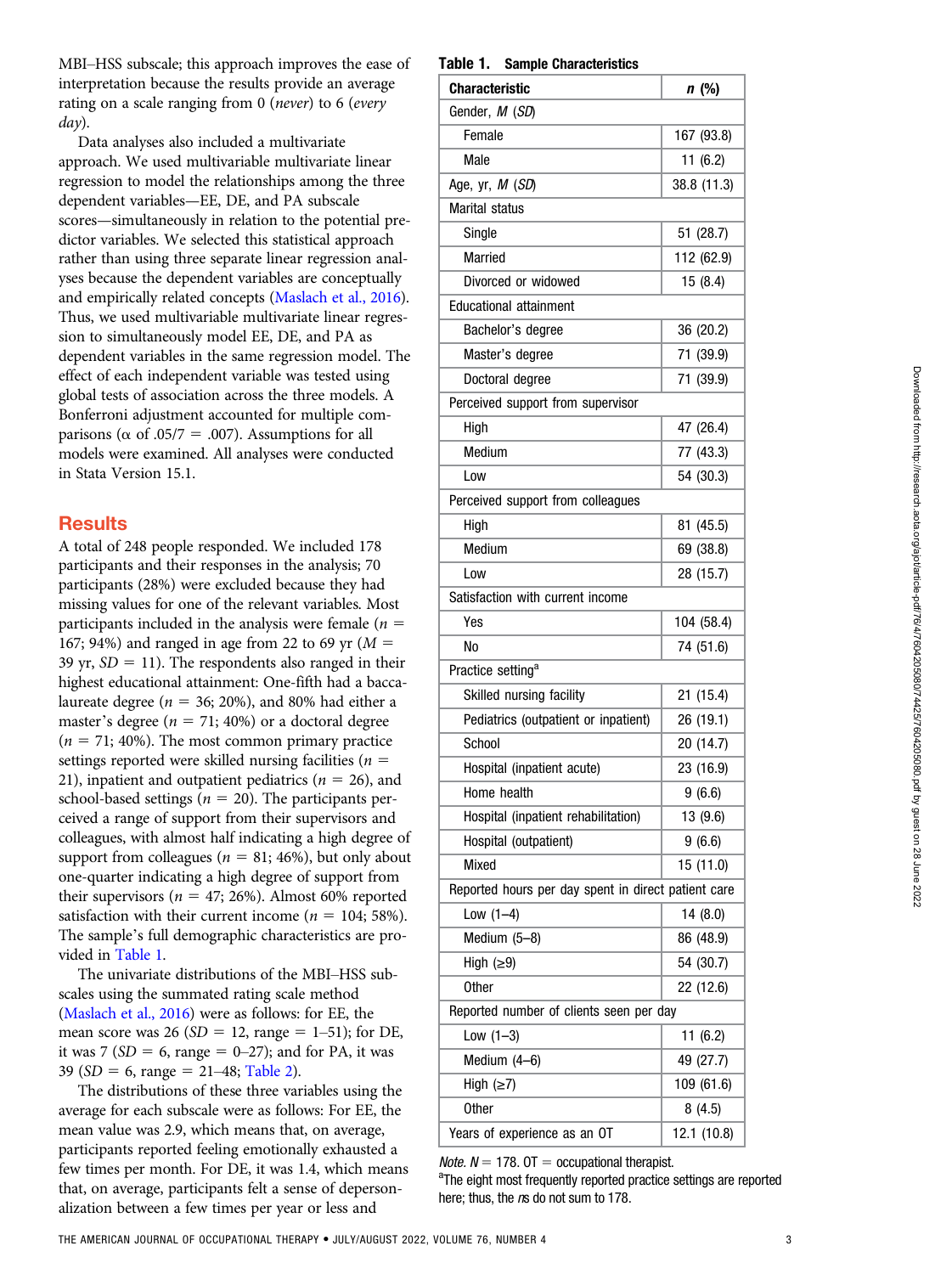MBI–HSS subscale; this approach improves the ease of interpretation because the results provide an average rating on a scale ranging from 0 (never) to 6 (every day).

Data analyses also included a multivariate approach. We used multivariable multivariate linear regression to model the relationships among the three dependent variables—EE, DE, and PA subscale scores—simultaneously in relation to the potential predictor variables. We selected this statistical approach rather than using three separate linear regression analyses because the dependent variables are conceptually and empirically related concepts ([Maslach et al., 2016](#page-6-0)). Thus, we used multivariable multivariate linear regression to simultaneously model EE, DE, and PA as dependent variables in the same regression model. The effect of each independent variable was tested using global tests of association across the three models. A Bonferroni adjustment accounted for multiple comparisons ( $\alpha$  of .05/7 = .007). Assumptions for all models were examined. All analyses were conducted in Stata Version 15.1.

# **Results**

A total of 248 people responded. We included 178 participants and their responses in the analysis; 70 participants (28%) were excluded because they had missing values for one of the relevant variables. Most participants included in the analysis were female ( $n =$ 167; 94%) and ranged in age from 22 to 69 yr  $(M =$ 39 yr,  $SD = 11$ ). The respondents also ranged in their highest educational attainment: One-fifth had a baccalaureate degree ( $n = 36$ ; 20%), and 80% had either a master's degree ( $n = 71$ ; 40%) or a doctoral degree  $(n = 71; 40\%)$ . The most common primary practice settings reported were skilled nursing facilities ( $n =$ 21), inpatient and outpatient pediatrics ( $n = 26$ ), and school-based settings ( $n = 20$ ). The participants perceived a range of support from their supervisors and colleagues, with almost half indicating a high degree of support from colleagues ( $n = 81$ ; 46%), but only about one-quarter indicating a high degree of support from their supervisors ( $n = 47$ ; 26%). Almost 60% reported satisfaction with their current income ( $n = 104$ ; 58%). The sample's full demographic characteristics are provided in [Table 1.](#page-2-0)

The univariate distributions of the MBI–HSS subscales using the summated rating scale method [\(Maslach et al., 2016](#page-6-0)) were as follows: for EE, the mean score was 26 ( $SD = 12$ , range = 1–51); for DE, it was 7 ( $SD = 6$ , range = 0–27); and for PA, it was 39 ( $SD = 6$ , range = 21–48; [Table 2\)](#page-3-0).

The distributions of these three variables using the average for each subscale were as follows: For EE, the mean value was 2.9, which means that, on average, participants reported feeling emotionally exhausted a few times per month. For DE, it was 1.4, which means that, on average, participants felt a sense of depersonalization between a few times per year or less and

#### <span id="page-2-0"></span>Table 1. Sample Characteristics

| <b>Characteristic</b>                               | n (%)       |  |  |  |
|-----------------------------------------------------|-------------|--|--|--|
| Gender, M (SD)                                      |             |  |  |  |
| Female                                              | 167 (93.8)  |  |  |  |
| Male                                                | 11(6.2)     |  |  |  |
| Age, yr, <i>M (SD</i> )                             | 38.8 (11.3) |  |  |  |
| <b>Marital status</b>                               |             |  |  |  |
| Single                                              | 51 (28.7)   |  |  |  |
| Married                                             | 112 (62.9)  |  |  |  |
| Divorced or widowed                                 | 15 (8.4)    |  |  |  |
| <b>Educational attainment</b>                       |             |  |  |  |
| Bachelor's degree                                   | 36 (20.2)   |  |  |  |
| Master's degree                                     | 71 (39.9)   |  |  |  |
| Doctoral degree                                     | 71 (39.9)   |  |  |  |
| Perceived support from supervisor                   |             |  |  |  |
| High                                                | 47 (26.4)   |  |  |  |
| Medium                                              | 77 (43.3)   |  |  |  |
| Low                                                 | 54 (30.3)   |  |  |  |
| Perceived support from colleagues                   |             |  |  |  |
| High                                                | 81 (45.5)   |  |  |  |
| Medium                                              | 69 (38.8)   |  |  |  |
| Low                                                 | 28 (15.7)   |  |  |  |
| Satisfaction with current income                    |             |  |  |  |
| Yes                                                 | 104 (58.4)  |  |  |  |
| No                                                  | 74 (51.6)   |  |  |  |
| Practice setting <sup>a</sup>                       |             |  |  |  |
| Skilled nursing facility                            | 21(15.4)    |  |  |  |
| Pediatrics (outpatient or inpatient)                | 26 (19.1)   |  |  |  |
| School                                              | 20 (14.7)   |  |  |  |
| Hospital (inpatient acute)                          | 23 (16.9)   |  |  |  |
| Home health                                         | 9(6.6)      |  |  |  |
| Hospital (inpatient rehabilitation)                 | 13 (9.6)    |  |  |  |
| Hospital (outpatient)                               | 9(6.6)      |  |  |  |
| Mixed                                               | 15 (11.0)   |  |  |  |
| Reported hours per day spent in direct patient care |             |  |  |  |
| Low $(1-4)$                                         | 14(8.0)     |  |  |  |
| Medium (5-8)                                        | 86 (48.9)   |  |  |  |
| High $(≥9)$                                         | 54 (30.7)   |  |  |  |
| <b>Other</b>                                        | 22 (12.6)   |  |  |  |
| Reported number of clients seen per day             |             |  |  |  |
| Low $(1-3)$                                         | 11(6.2)     |  |  |  |
| Medium (4-6)                                        | 49 (27.7)   |  |  |  |
| High $(\geq 7)$                                     | 109 (61.6)  |  |  |  |
| <b>Other</b>                                        | 8(4.5)      |  |  |  |
| Years of experience as an OT                        | 12.1 (10.8) |  |  |  |
|                                                     |             |  |  |  |

*Note.*  $N = 178$ . OT = occupational therapist.

<sup>a</sup>The eight most frequently reported practice settings are reported here; thus, the ns do not sum to 178.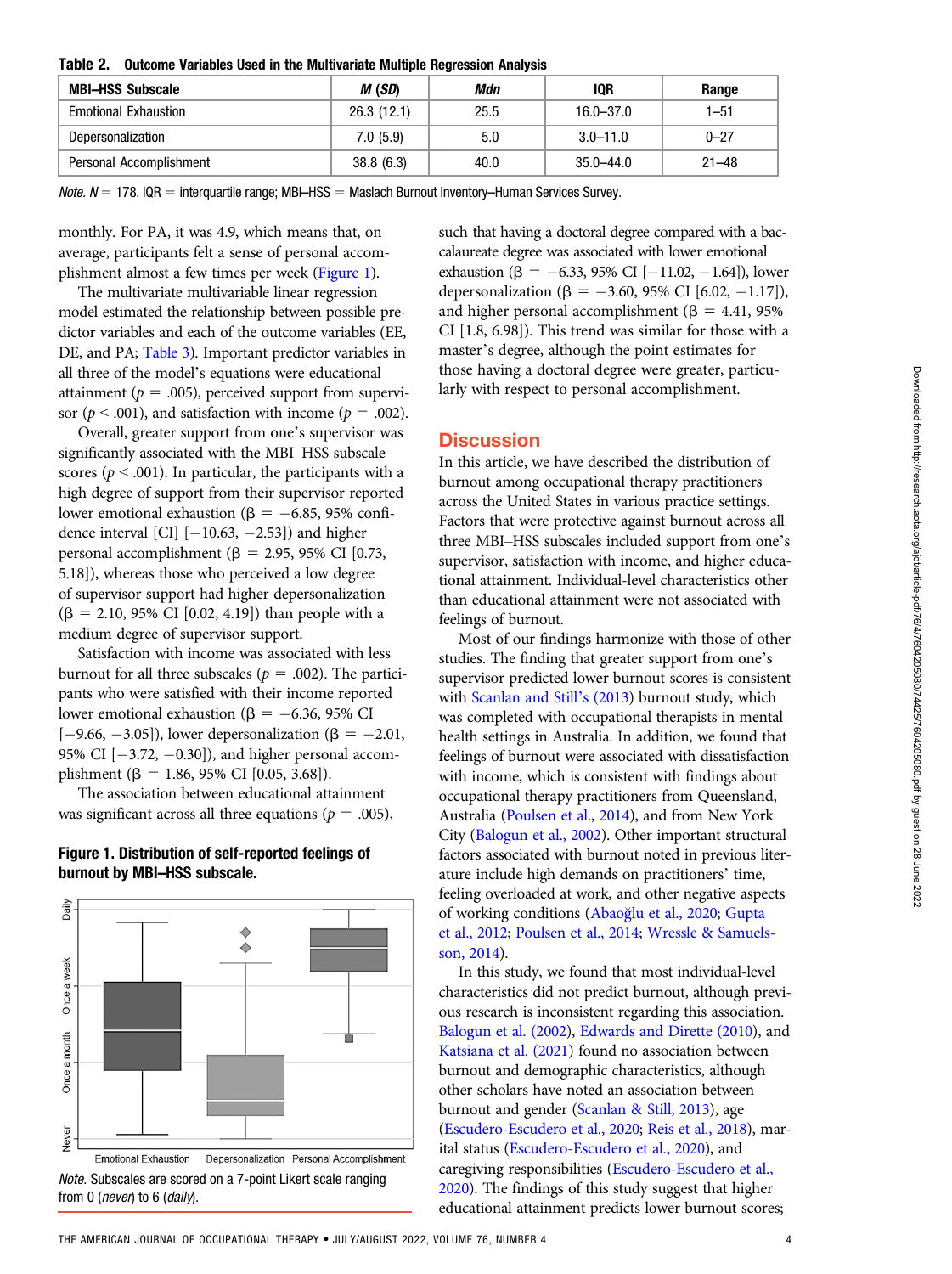<span id="page-3-0"></span>

|  | Table 2. Outcome Variables Used in the Multivariate Multiple Regression Analysis |  |  |  |  |  |
|--|----------------------------------------------------------------------------------|--|--|--|--|--|
|--|----------------------------------------------------------------------------------|--|--|--|--|--|

| <b>MBI-HSS Subscale</b>     | M (SD)     | Mdn  | 10R           | Range     |  |
|-----------------------------|------------|------|---------------|-----------|--|
| <b>Emotional Exhaustion</b> | 26.3(12.1) | 25.5 | $16.0 - 37.0$ | $1 - 51$  |  |
| Depersonalization           | 7.0(5.9)   | 5.0  | $3.0 - 11.0$  | $0 - 27$  |  |
| Personal Accomplishment     | 38.8(6.3)  | 40.0 | 35.0–44.0     | $21 - 48$ |  |

 $Note. N = 178. IQR = interquartile range; MBI–HSS = Maslach Burnout Inventory–Human Services Survey.$ 

monthly. For PA, it was 4.9, which means that, on average, participants felt a sense of personal accomplishment almost a few times per week [\(Figure 1\)](#page-3-1).

The multivariate multivariable linear regression model estimated the relationship between possible predictor variables and each of the outcome variables (EE, DE, and PA; [Table 3\)](#page-4-0). Important predictor variables in all three of the model's equations were educational attainment ( $p = .005$ ), perceived support from supervisor ( $p < .001$ ), and satisfaction with income ( $p = .002$ ).

Overall, greater support from one's supervisor was significantly associated with the MBI–HSS subscale scores ( $p < .001$ ). In particular, the participants with a high degree of support from their supervisor reported lower emotional exhaustion ( $\beta = -6.85$ , 95% confidence interval [CI]  $[-10.63, -2.53]$  and higher personal accomplishment ( $\beta$  = 2.95, 95% CI [0.73, 5.18]), whereas those who perceived a low degree of supervisor support had higher depersonalization  $(\beta = 2.10, 95\% \text{ CI } [0.02, 4.19])$  than people with a medium degree of supervisor support.

Satisfaction with income was associated with less burnout for all three subscales ( $p = .002$ ). The participants who were satisfied with their income reported lower emotional exhaustion ( $\beta = -6.36$ , 95% CI  $[-9.66, -3.05]$ , lower depersonalization ( $\beta = -2.01$ , 95% CI  $[-3.72, -0.30]$ ), and higher personal accomplishment ( $\beta = 1.86, 95\%$  CI [0.05, 3.68]).

The association between educational attainment was significant across all three equations ( $p = .005$ ),

#### <span id="page-3-1"></span>Figure 1. Distribution of self-reported feelings of burnout by MBI–HSS subscale.





such that having a doctoral degree compared with a baccalaureate degree was associated with lower emotional exhaustion ( $\beta = -6.33, 95\%$  CI [-11.02, -1.64]), lower depersonalization ( $\beta = -3.60, 95\%$  CI [6.02, -1.17]), and higher personal accomplishment ( $\beta = 4.41$ , 95%) CI [1.8, 6.98]). This trend was similar for those with a master's degree, although the point estimates for those having a doctoral degree were greater, particularly with respect to personal accomplishment.

## **Discussion**

In this article, we have described the distribution of burnout among occupational therapy practitioners across the United States in various practice settings. Factors that were protective against burnout across all three MBI–HSS subscales included support from one's supervisor, satisfaction with income, and higher educational attainment. Individual-level characteristics other than educational attainment were not associated with feelings of burnout.

Most of our findings harmonize with those of other studies. The finding that greater support from one's supervisor predicted lower burnout scores is consistent with [Scanlan and Still](#page-6-0)'s (2013) burnout study, which was completed with occupational therapists in mental health settings in Australia. In addition, we found that feelings of burnout were associated with dissatisfaction with income, which is consistent with findings about occupational therapy practitioners from Queensland, Australia [\(Poulsen et al., 2014\)](#page-6-0), and from New York City [\(Balogun et al., 2002](#page-6-0)). Other important structural factors associated with burnout noted in previous literature include high demands on practitioners' time, feeling overloaded at work, and other negative aspects of working conditions (Abao[glu et al., 2020;](#page-6-0) [Gupta](#page-6-0) [et al., 2012;](#page-6-0) [Poulsen et al., 2014;](#page-6-0) [Wressle & Samuels](#page-7-0)[son, 2014\)](#page-7-0).

In this study, we found that most individual-level characteristics did not predict burnout, although previous research is inconsistent regarding this association. [Balogun et al. \(2002\)](#page-6-0), [Edwards and Dirette \(2010](#page-6-0)), and [Katsiana et al. \(2021](#page-6-0)) found no association between burnout and demographic characteristics, although other scholars have noted an association between burnout and gender ([Scanlan & Still, 2013\)](#page-6-0), age [\(Escudero-Escudero et al., 2020;](#page-6-0) [Reis et al., 2018\)](#page-6-0), marital status ([Escudero-Escudero et al., 2020](#page-6-0)), and caregiving responsibilities [\(Escudero-Escudero et al.,](#page-6-0) [2020](#page-6-0)). The findings of this study suggest that higher educational attainment predicts lower burnout scores;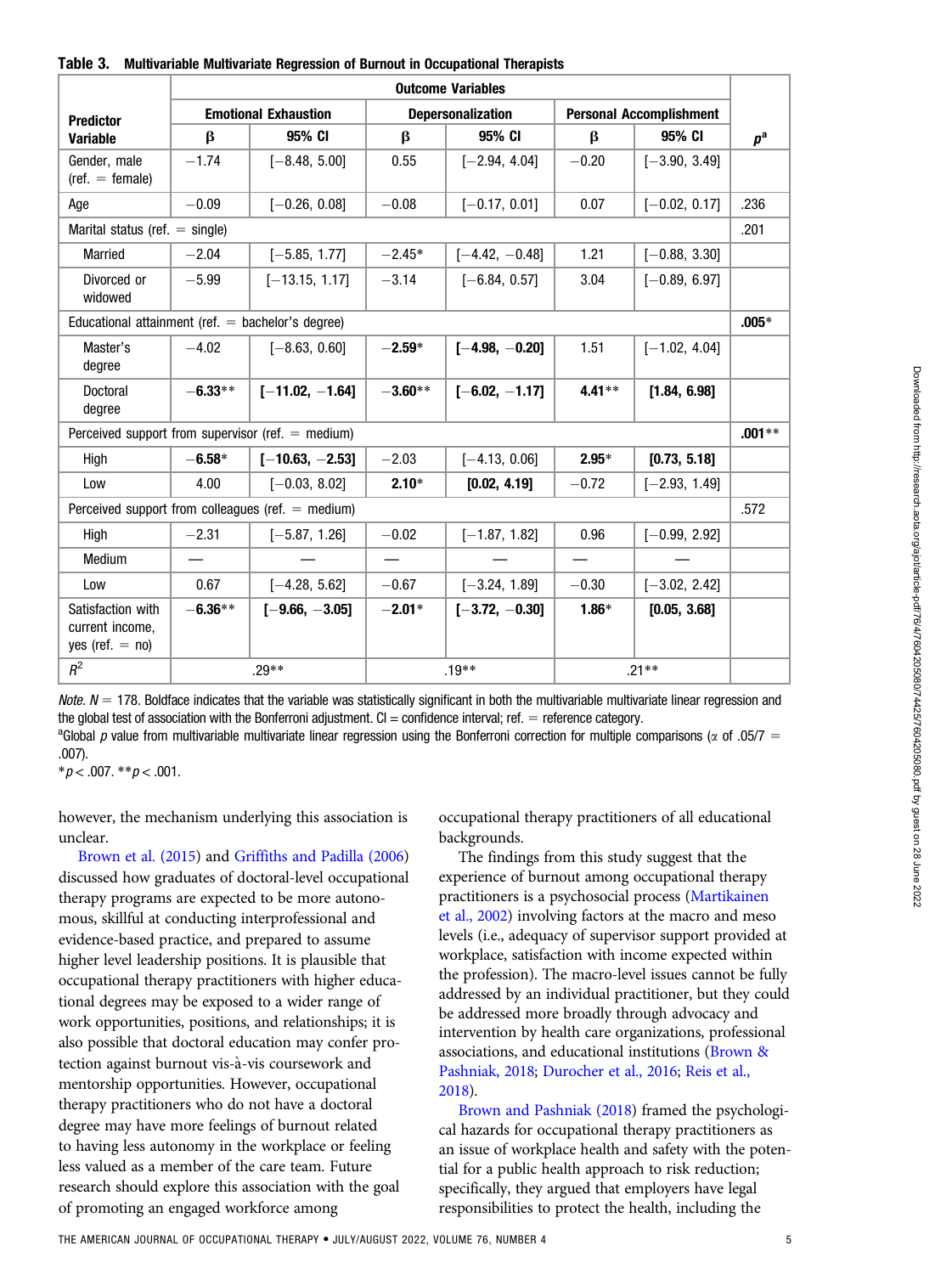<span id="page-4-0"></span>

| Table 3. | Multivariable Multivariate Regression of Burnout in Occupational Therapists |  |  |
|----------|-----------------------------------------------------------------------------|--|--|
|----------|-----------------------------------------------------------------------------|--|--|

|                                                           | <b>Outcome Variables</b>    |                                                     |                          |                  |                                |                 |             |
|-----------------------------------------------------------|-----------------------------|-----------------------------------------------------|--------------------------|------------------|--------------------------------|-----------------|-------------|
| <b>Predictor</b>                                          | <b>Emotional Exhaustion</b> |                                                     | <b>Depersonalization</b> |                  | <b>Personal Accomplishment</b> |                 |             |
| <b>Variable</b>                                           | β                           | 95% CI                                              | β                        | 95% CI           | $\beta$                        | 95% CI          | $p^{\rm a}$ |
| Gender, male<br>$(\text{ref.} = \text{female})$           | $-1.74$                     | $[-8.48, 5.00]$                                     | 0.55                     | $[-2.94, 4.04]$  | $-0.20$                        | $[-3.90, 3.49]$ |             |
| Age                                                       | $-0.09$                     | $[-0.26, 0.08]$                                     | $-0.08$                  | $[-0.17, 0.01]$  | 0.07                           | $[-0.02, 0.17]$ | .236        |
| Marital status (ref. $=$ single)                          |                             |                                                     |                          |                  |                                |                 | .201        |
| <b>Married</b>                                            | $-2.04$                     | $[-5.85, 1.77]$                                     | $-2.45*$                 | $[-4.42, -0.48]$ | 1.21                           | $[-0.88, 3.30]$ |             |
| Divorced or<br>widowed                                    | $-5.99$                     | $[-13.15, 1.17]$                                    | $-3.14$                  | $[-6.84, 0.57]$  | 3.04                           | $[-0.89, 6.97]$ |             |
| Educational attainment (ref. $=$ bachelor's degree)       |                             |                                                     |                          |                  |                                |                 | $.005*$     |
| Master's<br>degree                                        | $-4.02$                     | $[-8.63, 0.60]$                                     | $-2.59*$                 | $[-4.98, -0.20]$ | 1.51                           | $[-1.02, 4.04]$ |             |
| Doctoral<br>degree                                        | $-6.33**$                   | $[-11.02, -1.64]$                                   | $-3.60**$                | $[-6.02, -1.17]$ | $4.41**$                       | [1.84, 6.98]    |             |
|                                                           |                             | Perceived support from supervisor (ref. $=$ medium) |                          |                  |                                |                 | $.001**$    |
| High                                                      | $-6.58*$                    | $[-10.63, -2.53]$                                   | $-2.03$                  | $[-4.13, 0.06]$  | $2.95*$                        | [0.73, 5.18]    |             |
| Low                                                       | 4.00                        | $[-0.03, 8.02]$                                     | $2.10*$                  | [0.02, 4.19]     | $-0.72$                        | $[-2.93, 1.49]$ |             |
|                                                           |                             | Perceived support from colleagues (ref. $=$ medium) |                          |                  |                                |                 | .572        |
| High                                                      | $-2.31$                     | $[-5.87, 1.26]$                                     | $-0.02$                  | $[-1.87, 1.82]$  | 0.96                           | $[-0.99, 2.92]$ |             |
| Medium                                                    |                             |                                                     | —                        |                  | $\qquad \qquad$                |                 |             |
| Low                                                       | 0.67                        | $[-4.28, 5.62]$                                     | $-0.67$                  | $[-3.24, 1.89]$  | $-0.30$                        | $[-3.02, 2.42]$ |             |
| Satisfaction with<br>current income,<br>yes (ref. $=$ no) | $-6.36**$                   | $I-9.66. -3.051$                                    | $-2.01*$                 | $[-3.72, -0.30]$ | $1.86*$                        | [0.05, 3.68]    |             |
| $R^2$                                                     | $.29**$                     |                                                     | $.19**$                  |                  | $.21**$                        |                 |             |

Note.  $N = 178$ . Boldface indicates that the variable was statistically significant in both the multivariable multivariate linear regression and the global test of association with the Bonferroni adjustment.  $Cl =$  confidence interval; ref.  $=$  reference category.

<sup>a</sup>Global p value from multivariable multivariate linear regression using the Bonferroni correction for multiple comparisons ( $\alpha$  of .05/7 = .007).

 $* p < .007$ .  $* p < .001$ .

however, the mechanism underlying this association is unclear.

[Brown et al. \(2015](#page-6-0)) and [Griffiths and Padilla \(2006](#page-6-0)) discussed how graduates of doctoral-level occupational therapy programs are expected to be more autonomous, skillful at conducting interprofessional and evidence-based practice, and prepared to assume higher level leadership positions. It is plausible that occupational therapy practitioners with higher educational degrees may be exposed to a wider range of work opportunities, positions, and relationships; it is also possible that doctoral education may confer protection against burnout vis-a-vis coursework and mentorship opportunities. However, occupational therapy practitioners who do not have a doctoral degree may have more feelings of burnout related to having less autonomy in the workplace or feeling less valued as a member of the care team. Future research should explore this association with the goal of promoting an engaged workforce among

occupational therapy practitioners of all educational backgrounds.

The findings from this study suggest that the experience of burnout among occupational therapy practitioners is a psychosocial process [\(Martikainen](#page-6-0) [et al., 2002\)](#page-6-0) involving factors at the macro and meso levels (i.e., adequacy of supervisor support provided at workplace, satisfaction with income expected within the profession). The macro-level issues cannot be fully addressed by an individual practitioner, but they could be addressed more broadly through advocacy and intervention by health care organizations, professional associations, and educational institutions [\(Brown &](#page-6-0) [Pashniak, 2018](#page-6-0); [Durocher et al., 2016](#page-6-0); [Reis et al.,](#page-6-0) [2018](#page-6-0)).

[Brown and Pashniak \(2018](#page-6-0)) framed the psychological hazards for occupational therapy practitioners as an issue of workplace health and safety with the potential for a public health approach to risk reduction; specifically, they argued that employers have legal responsibilities to protect the health, including the

Downloaded from http://research.aota.org/ajot/article-pdf/7604205080/74425/7604205080.pdf by guest on 28 June 2022 Downloaded from http://research.aota.org/ajot/article-pdf/76/4/7604205080/74425/7604205080.pdf by guest on 28 June 2022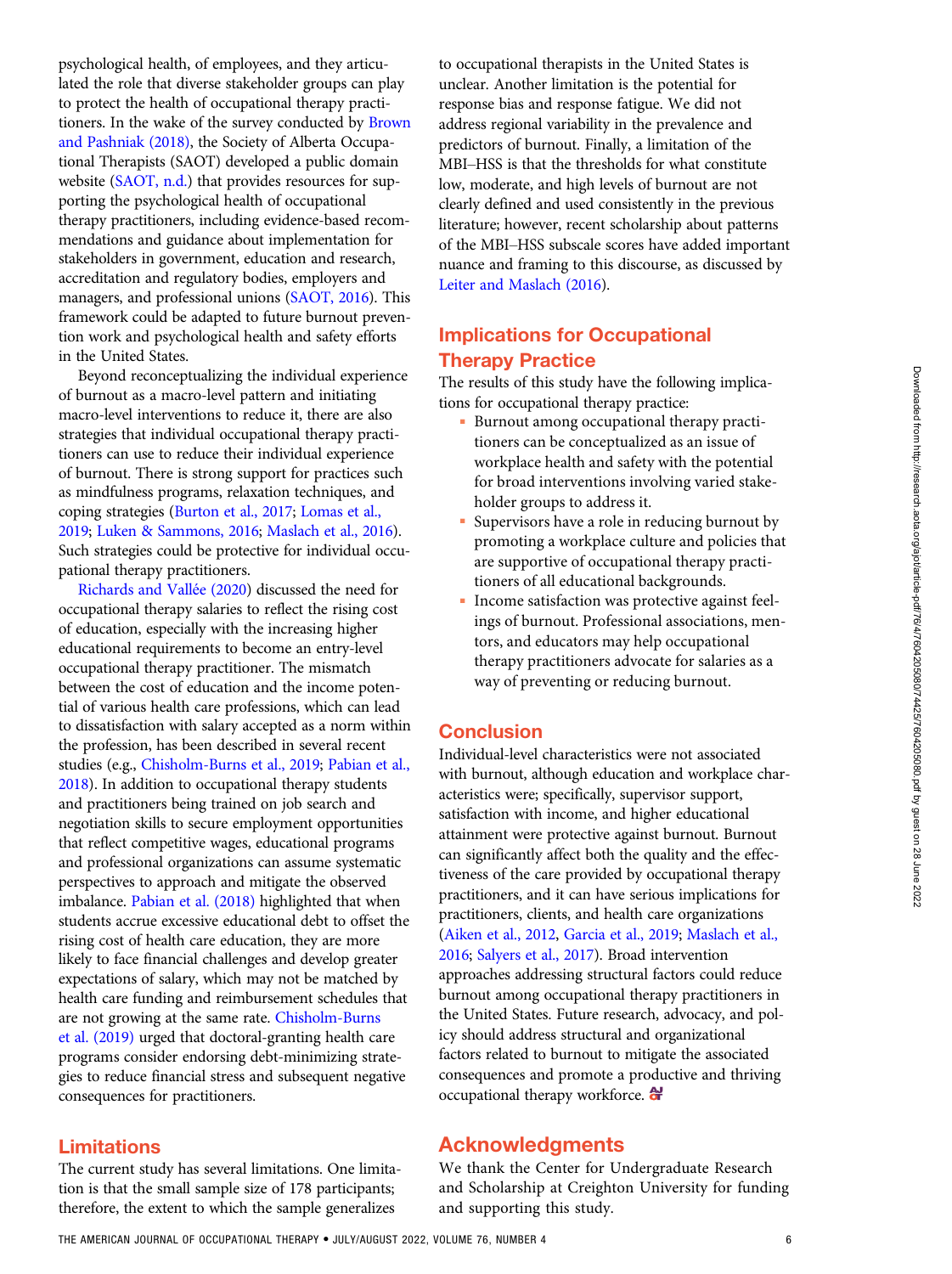Downloaded from http://research.aota.org/ajot/article-pdf/7604205080/74425/7604205080.pdf by guest on 28 June 2022 Downloaded from http://research.aota.org/ajot/article-pdf/76/4/7604205080/74425/7604205080.pdf by guest on 28 June 2022

psychological health, of employees, and they articulated the role that diverse stakeholder groups can play to protect the health of occupational therapy practitioners. In the wake of the survey conducted by [Brown](#page-6-0) [and Pashniak \(2018\),](#page-6-0) the Society of Alberta Occupational Therapists (SAOT) developed a public domain website ([SAOT, n.d.\)](#page-7-0) that provides resources for supporting the psychological health of occupational therapy practitioners, including evidence-based recommendations and guidance about implementation for stakeholders in government, education and research, accreditation and regulatory bodies, employers and managers, and professional unions [\(SAOT, 2016\)](#page-7-0). This framework could be adapted to future burnout prevention work and psychological health and safety efforts in the United States.

Beyond reconceptualizing the individual experience of burnout as a macro-level pattern and initiating macro-level interventions to reduce it, there are also strategies that individual occupational therapy practitioners can use to reduce their individual experience of burnout. There is strong support for practices such as mindfulness programs, relaxation techniques, and coping strategies [\(Burton et al., 2017;](#page-6-0) [Lomas et al.,](#page-6-0) [2019](#page-6-0); [Luken & Sammons, 2016;](#page-6-0) [Maslach et al., 2016](#page-6-0)). Such strategies could be protective for individual occupational therapy practitioners.

[Richards and Vall](#page-6-0)ée (2020) discussed the need for occupational therapy salaries to reflect the rising cost of education, especially with the increasing higher educational requirements to become an entry-level occupational therapy practitioner. The mismatch between the cost of education and the income potential of various health care professions, which can lead to dissatisfaction with salary accepted as a norm within the profession, has been described in several recent studies (e.g., [Chisholm-Burns et al., 2019](#page-6-0); [Pabian et al.,](#page-6-0) [2018](#page-6-0)). In addition to occupational therapy students and practitioners being trained on job search and negotiation skills to secure employment opportunities that reflect competitive wages, educational programs and professional organizations can assume systematic perspectives to approach and mitigate the observed imbalance. [Pabian et al. \(2018\)](#page-6-0) highlighted that when students accrue excessive educational debt to offset the rising cost of health care education, they are more likely to face financial challenges and develop greater expectations of salary, which may not be matched by health care funding and reimbursement schedules that are not growing at the same rate. [Chisholm-Burns](#page-6-0) [et al. \(2019\)](#page-6-0) urged that doctoral-granting health care programs consider endorsing debt-minimizing strategies to reduce financial stress and subsequent negative consequences for practitioners.

## Limitations

The current study has several limitations. One limitation is that the small sample size of 178 participants; therefore, the extent to which the sample generalizes

to occupational therapists in the United States is unclear. Another limitation is the potential for response bias and response fatigue. We did not address regional variability in the prevalence and predictors of burnout. Finally, a limitation of the MBI–HSS is that the thresholds for what constitute low, moderate, and high levels of burnout are not clearly defined and used consistently in the previous literature; however, recent scholarship about patterns of the MBI–HSS subscale scores have added important nuance and framing to this discourse, as discussed by [Leiter and Maslach \(2016](#page-6-0)).

# Implications for Occupational Therapy Practice

The results of this study have the following implications for occupational therapy practice:

- Burnout among occupational therapy practitioners can be conceptualized as an issue of workplace health and safety with the potential for broad interventions involving varied stakeholder groups to address it.
- Supervisors have a role in reducing burnout by promoting a workplace culture and policies that are supportive of occupational therapy practitioners of all educational backgrounds.
- Income satisfaction was protective against feelings of burnout. Professional associations, mentors, and educators may help occupational therapy practitioners advocate for salaries as a way of preventing or reducing burnout.

# Conclusion

Individual-level characteristics were not associated with burnout, although education and workplace characteristics were; specifically, supervisor support, satisfaction with income, and higher educational attainment were protective against burnout. Burnout can significantly affect both the quality and the effectiveness of the care provided by occupational therapy practitioners, and it can have serious implications for practitioners, clients, and health care organizations [\(Aiken et al., 2012](#page-6-0), [Garcia et al., 2019;](#page-6-0) [Maslach et al.,](#page-6-0) [2016](#page-6-0); [Salyers et al., 2017\)](#page-6-0). Broad intervention approaches addressing structural factors could reduce burnout among occupational therapy practitioners in the United States. Future research, advocacy, and policy should address structural and organizational factors related to burnout to mitigate the associated consequences and promote a productive and thriving occupational therapy workforce.

# Acknowledgments

We thank the Center for Undergraduate Research and Scholarship at Creighton University for funding and supporting this study.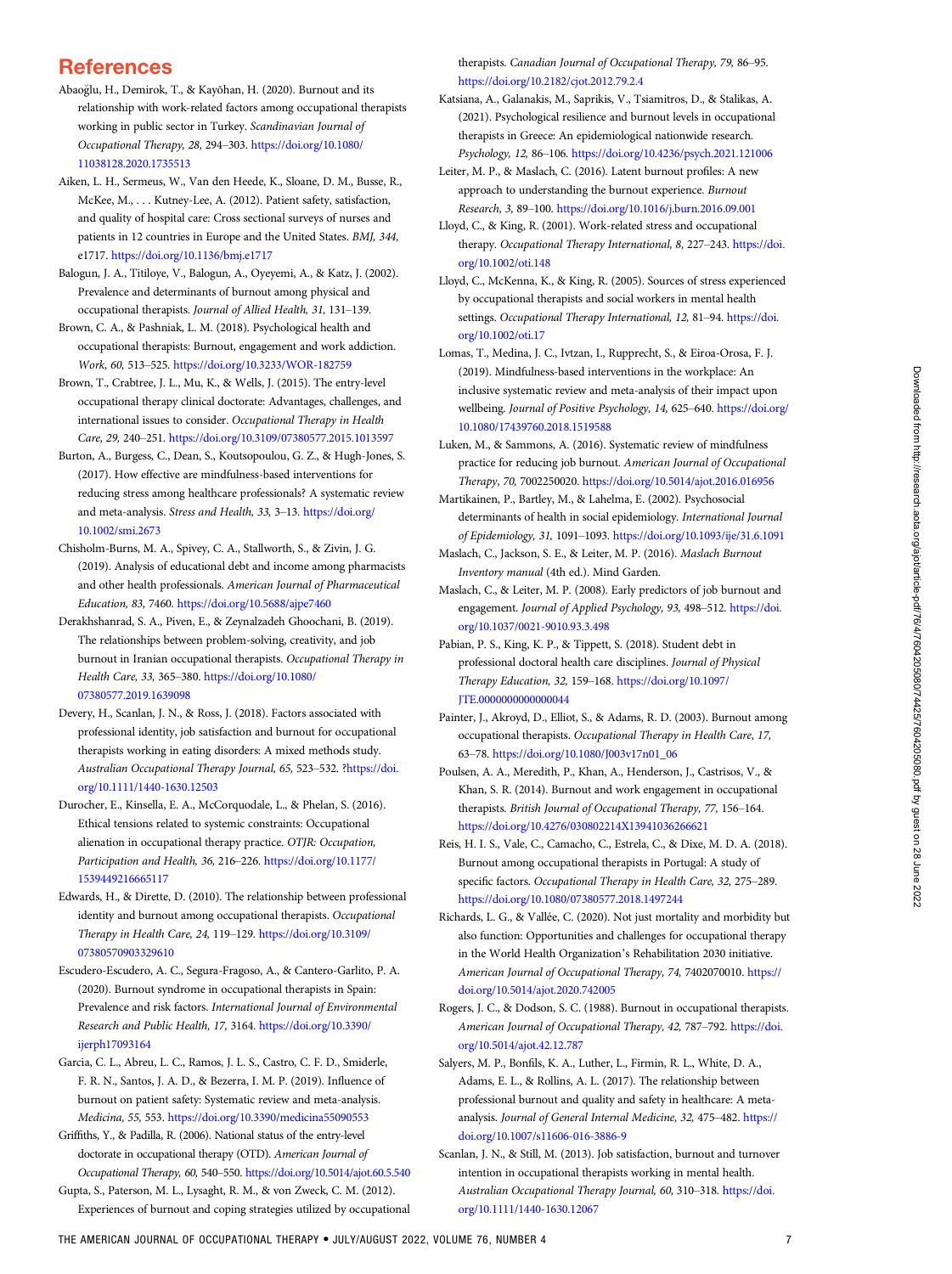# <span id="page-6-0"></span>**References**

- Abaoglu, H., Demirok, T., & Kayõhan, H. (2020). Burnout and its relationship with work-related factors among occupational therapists working in public sector in Turkey. Scandinavian Journal of Occupational Therapy, 28, 294–303. [https://doi.org/10.1080/](https://doi.org/10.1080/11038128.2020.1735513) [11038128.2020.1735513](https://doi.org/10.1080/11038128.2020.1735513)
- Aiken, L. H., Sermeus, W., Van den Heede, K., Sloane, D. M., Busse, R., McKee, M., . . . Kutney-Lee, A. (2012). Patient safety, satisfaction, and quality of hospital care: Cross sectional surveys of nurses and patients in 12 countries in Europe and the United States. BMJ, 344, e1717. <https://doi.org/10.1136/bmj.e1717>
- Balogun, J. A., Titiloye, V., Balogun, A., Oyeyemi, A., & Katz, J. (2002). Prevalence and determinants of burnout among physical and occupational therapists. Journal of Allied Health, 31, 131–139.
- Brown, C. A., & Pashniak, L. M. (2018). Psychological health and occupational therapists: Burnout, engagement and work addiction. Work, 60, 513–525. <https://doi.org/10.3233/WOR-182759>
- Brown, T., Crabtree, J. L., Mu, K., & Wells, J. (2015). The entry-level occupational therapy clinical doctorate: Advantages, challenges, and international issues to consider. Occupational Therapy in Health Care, 29, 240–251. <https://doi.org/10.3109/07380577.2015.1013597>
- Burton, A., Burgess, C., Dean, S., Koutsopoulou, G. Z., & Hugh-Jones, S. (2017). How effective are mindfulness-based interventions for reducing stress among healthcare professionals? A systematic review and meta-analysis. Stress and Health, 33, 3–13. [https://doi.org/](https://doi.org/10.1002/smi.2673) [10.1002/smi.2673](https://doi.org/10.1002/smi.2673)
- Chisholm-Burns, M. A., Spivey, C. A., Stallworth, S., & Zivin, J. G. (2019). Analysis of educational debt and income among pharmacists and other health professionals. American Journal of Pharmaceutical Education, 83, 7460. <https://doi.org/10.5688/ajpe7460>
- Derakhshanrad, S. A., Piven, E., & Zeynalzadeh Ghoochani, B. (2019). The relationships between problem-solving, creativity, and job burnout in Iranian occupational therapists. Occupational Therapy in Health Care, 33, 365–380. [https://doi.org/10.1080/](https://doi.org/10.1080/07380577.2019.1639098) [07380577.2019.1639098](https://doi.org/10.1080/07380577.2019.1639098)
- Devery, H., Scanlan, J. N., & Ross, J. (2018). Factors associated with professional identity, job satisfaction and burnout for occupational therapists working in eating disorders: A mixed methods study. Australian Occupational Therapy Journal, 65, 523–532. [?https://doi.](https://doi.org/10.1111/1440-1630.12503) [org/10.1111/1440-1630.12503](https://doi.org/10.1111/1440-1630.12503)
- Durocher, E., Kinsella, E. A., McCorquodale, L., & Phelan, S. (2016). Ethical tensions related to systemic constraints: Occupational alienation in occupational therapy practice. OTJR: Occupation, Participation and Health, 36, 216–226. [https://doi.org/10.1177/](https://doi.org/10.1177/1539449216665117) [1539449216665117](https://doi.org/10.1177/1539449216665117)
- Edwards, H., & Dirette, D. (2010). The relationship between professional identity and burnout among occupational therapists. Occupational Therapy in Health Care, 24, 119–129. [https://doi.org/10.3109/](https://doi.org/10.3109/07380570903329610) [07380570903329610](https://doi.org/10.3109/07380570903329610)
- Escudero-Escudero, A. C., Segura-Fragoso, A., & Cantero-Garlito, P. A. (2020). Burnout syndrome in occupational therapists in Spain: Prevalence and risk factors. International Journal of Environmental Research and Public Health, 17, 3164. [https://doi.org/10.3390/](https://doi.org/10.3390/ijerph17093164) [ijerph17093164](https://doi.org/10.3390/ijerph17093164)
- Garcia, C. L., Abreu, L. C., Ramos, J. L. S., Castro, C. F. D., Smiderle, F. R. N., Santos, J. A. D., & Bezerra, I. M. P. (2019). Influence of burnout on patient safety: Systematic review and meta-analysis. Medicina, 55, 553. <https://doi.org/10.3390/medicina55090553>
- Griffiths, Y., & Padilla, R. (2006). National status of the entry-level doctorate in occupational therapy (OTD). American Journal of Occupational Therapy, 60, 540–550. <https://doi.org/10.5014/ajot.60.5.540>
- Gupta, S., Paterson, M. L., Lysaght, R. M., & von Zweck, C. M. (2012). Experiences of burnout and coping strategies utilized by occupational

therapists. Canadian Journal of Occupational Therapy, 79, 86–95. <https://doi.org/10.2182/cjot.2012.79.2.4>

- Katsiana, A., Galanakis, M., Saprikis, V., Tsiamitros, D., & Stalikas, A. (2021). Psychological resilience and burnout levels in occupational therapists in Greece: An epidemiological nationwide research. Psychology, 12, 86–106. <https://doi.org/10.4236/psych.2021.121006>
- Leiter, M. P., & Maslach, C. (2016). Latent burnout profiles: A new approach to understanding the burnout experience. Burnout Research, 3, 89–100. <https://doi.org/10.1016/j.burn.2016.09.001>
- Lloyd, C., & King, R. (2001). Work-related stress and occupational therapy. Occupational Therapy International, 8, 227-243. [https://doi.](https://doi.org/10.1002/oti.148) [org/10.1002/oti.148](https://doi.org/10.1002/oti.148)
- Lloyd, C., McKenna, K., & King, R. (2005). Sources of stress experienced by occupational therapists and social workers in mental health settings. Occupational Therapy International, 12, 81-94. [https://doi.](https://doi.org/10.1002/oti.17) [org/10.1002/oti.17](https://doi.org/10.1002/oti.17)
- Lomas, T., Medina, J. C., Ivtzan, I., Rupprecht, S., & Eiroa-Orosa, F. J. (2019). Mindfulness-based interventions in the workplace: An inclusive systematic review and meta-analysis of their impact upon wellbeing. Journal of Positive Psychology, 14, 625-640. [https://doi.org/](https://doi.org/10.1080/17439760.2018.1519588) [10.1080/17439760.2018.1519588](https://doi.org/10.1080/17439760.2018.1519588)
- Luken, M., & Sammons, A. (2016). Systematic review of mindfulness practice for reducing job burnout. American Journal of Occupational Therapy, 70, 7002250020. <https://doi.org/10.5014/ajot.2016.016956>
- Martikainen, P., Bartley, M., & Lahelma, E. (2002). Psychosocial determinants of health in social epidemiology. International Journal of Epidemiology, 31, 1091–1093. <https://doi.org/10.1093/ije/31.6.1091>
- Maslach, C., Jackson, S. E., & Leiter, M. P. (2016). Maslach Burnout Inventory manual (4th ed.). Mind Garden.
- Maslach, C., & Leiter, M. P. (2008). Early predictors of job burnout and engagement. Journal of Applied Psychology, 93, 498–512. [https://doi.](https://doi.org/10.1037/0021-9010.93.3.498) [org/10.1037/0021-9010.93.3.498](https://doi.org/10.1037/0021-9010.93.3.498)
- Pabian, P. S., King, K. P., & Tippett, S. (2018). Student debt in professional doctoral health care disciplines. Journal of Physical Therapy Education, 32, 159–168. [https://doi.org/10.1097/](https://doi.org/10.1097/JTE.0000000000000044) [JTE.0000000000000044](https://doi.org/10.1097/JTE.0000000000000044)
- Painter, J., Akroyd, D., Elliot, S., & Adams, R. D. (2003). Burnout among occupational therapists. Occupational Therapy in Health Care, 17, 63–78. [https://doi.org/10.1080/J003v17n01\\_06](https://doi.org/10.1080/J003v17n01_06)
- Poulsen, A. A., Meredith, P., Khan, A., Henderson, J., Castrisos, V., & Khan, S. R. (2014). Burnout and work engagement in occupational therapists. British Journal of Occupational Therapy, 77, 156–164. <https://doi.org/10.4276/030802214X13941036266621>
- Reis, H. I. S., Vale, C., Camacho, C., Estrela, C., & Dixe, M. D. A. (2018). Burnout among occupational therapists in Portugal: A study of specific factors. Occupational Therapy in Health Care, 32, 275–289. <https://doi.org/10.1080/07380577.2018.1497244>
- Richards, L. G., & Vallée, C. (2020). Not just mortality and morbidity but also function: Opportunities and challenges for occupational therapy in the World Health Organization's Rehabilitation 2030 initiative. American Journal of Occupational Therapy, 74, 7402070010. [https://](https://doi.org/10.5014/ajot.2020.742005) [doi.org/10.5014/ajot.2020.742005](https://doi.org/10.5014/ajot.2020.742005)
- Rogers, J. C., & Dodson, S. C. (1988). Burnout in occupational therapists. American Journal of Occupational Therapy, 42, 787–792. [https://doi.](https://doi.org/10.5014/ajot.42.12.787) [org/10.5014/ajot.42.12.787](https://doi.org/10.5014/ajot.42.12.787)
- Salyers, M. P., Bonfils, K. A., Luther, L., Firmin, R. L., White, D. A., Adams, E. L., & Rollins, A. L. (2017). The relationship between professional burnout and quality and safety in healthcare: A metaanalysis. Journal of General Internal Medicine, 32, 475-482. [https://](https://doi.org/10.1007/s11606-016-3886-9) [doi.org/10.1007/s11606-016-3886-9](https://doi.org/10.1007/s11606-016-3886-9)
- Scanlan, J. N., & Still, M. (2013). Job satisfaction, burnout and turnover intention in occupational therapists working in mental health. Australian Occupational Therapy Journal, 60, 310–318. [https://doi.](https://doi.org/10.1111/1440-1630.12067) [org/10.1111/1440-1630.12067](https://doi.org/10.1111/1440-1630.12067)